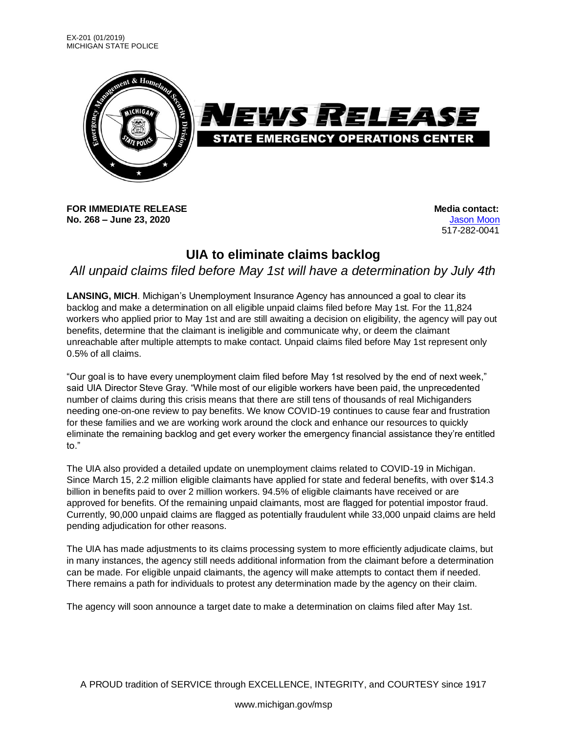

**FOR IMMEDIATE RELEASE Media** contact: **No. 268 – June 23, 2020** [Jason](mailto:moonj@michigan.gov) Moon

517-282-0041

## **UIA to eliminate claims backlog**

## *All unpaid claims filed before May 1st will have a determination by July 4th*

**LANSING, MICH**. Michigan's Unemployment Insurance Agency has announced a goal to clear its backlog and make a determination on all eligible unpaid claims filed before May 1st. For the 11,824 workers who applied prior to May 1st and are still awaiting a decision on eligibility, the agency will pay out benefits, determine that the claimant is ineligible and communicate why, or deem the claimant unreachable after multiple attempts to make contact. Unpaid claims filed before May 1st represent only 0.5% of all claims.

"Our goal is to have every unemployment claim filed before May 1st resolved by the end of next week," said UIA Director Steve Gray. "While most of our eligible workers have been paid, the unprecedented number of claims during this crisis means that there are still tens of thousands of real Michiganders needing one-on-one review to pay benefits. We know COVID-19 continues to cause fear and frustration for these families and we are working work around the clock and enhance our resources to quickly eliminate the remaining backlog and get every worker the emergency financial assistance they're entitled to."

The UIA also provided a detailed update on unemployment claims related to COVID-19 in Michigan. Since March 15, 2.2 million eligible claimants have applied for state and federal benefits, with over \$14.3 billion in benefits paid to over 2 million workers. 94.5% of eligible claimants have received or are approved for benefits. Of the remaining unpaid claimants, most are flagged for potential impostor fraud. Currently, 90,000 unpaid claims are flagged as potentially fraudulent while 33,000 unpaid claims are held pending adjudication for other reasons.

The UIA has made adjustments to its claims processing system to more efficiently adjudicate claims, but in many instances, the agency still needs additional information from the claimant before a determination can be made. For eligible unpaid claimants, the agency will make attempts to contact them if needed. There remains a path for individuals to protest any determination made by the agency on their claim.

The agency will soon announce a target date to make a determination on claims filed after May 1st.

A PROUD tradition of SERVICE through EXCELLENCE, INTEGRITY, and COURTESY since 1917